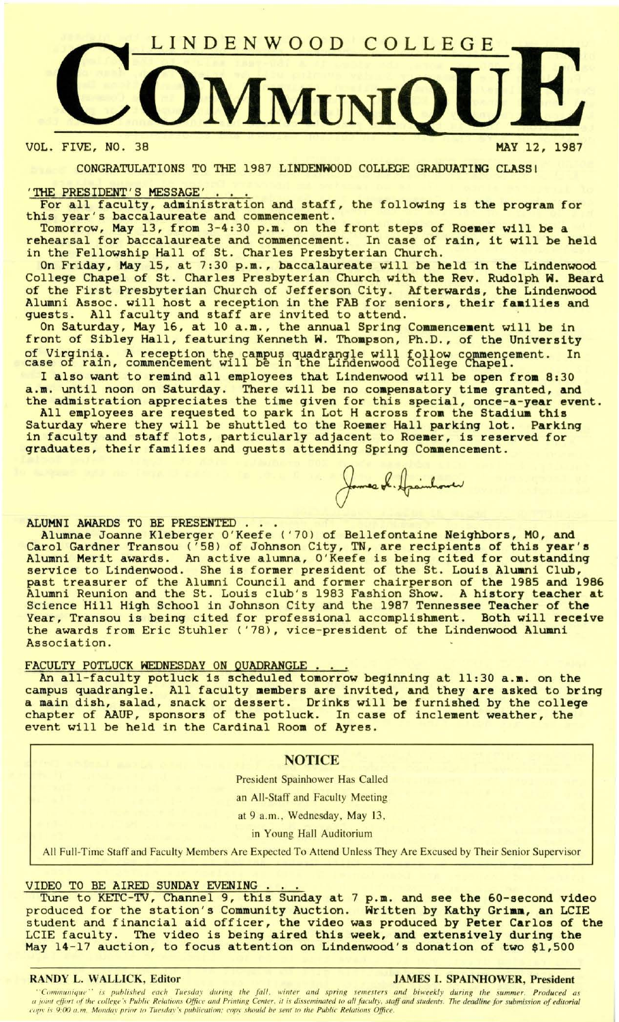

VOL. FIVE, NO. 38 HAY 12, 1987

CONGRATULATIONS TO THE 1987 LINDENHOOD COLLEGE GRADUATING CLASS!

'THE PRESIDENT'S MESSAGE ' ... For all faculty, administration and staff, the following is the program for this year's baccalaureate and commencement.<br>Tomorrow, May 13, from 3-4:30 p.m. on the front steps of Roemer will be a

Tomorrow, May 13, from 3-4:30 p.m. on the front steps of Roemer will be a rehearsal for baccalaureate and commencement. In case of rain, it will be held in the Fellowship Hall of St. Charles Presbyterian Church.

On Friday, May 15, at 7:30 **p.m . ,** baccalaureate will be held in the Lindenwood College Chapel of St. Charles Presbyterian Church with the Rev. Rudolph H. Beard of the First Presbyterian Church of Jefferson City. Afterwards, the Lindenwood Alumni Assoc. will host a reception in the FAB for seniors, their **faailies** and guests. All faculty and staff are invited to attend.

On Saturday, May 16, at 10 a.m., the annual Spring Commencement will be in front of Sibley Hall, featuring Kenneth W. Thompson, Ph.D., of the University of Virginia. A reception the campus quadrangle will follow commencement. In case of rain, commencement will be in the Lindenwood College Chapel.

I also want to remind all employees that Lindenwood will be open from 8:30 a.m. until noon on Saturday. There will be no compensatory time granted, and the admistration appreciates the time given for this special, once-a-year event.

All employees are requested to park in Lot H across from the Stadium this Saturday where they will be shuttled to the Roemer Hall parking lot. Parking in faculty and staff lots, particularly adjacent to **Roeaer,** is reserved for graduates, their families and guests attending Spring Commencement.

ALUMNI AWARDS TO BE PRESENTED ...<br>Alumnae Joanne Kleberger O'Keefe ('70) of Bellefontaine Neighbors, MO, and Carol Gardner Transou ('58) of Johnson City, TN, are recipients of this **year's**  Alumni Merit awards. An active alumna, O'Keefe is being cited for outstanding service to Lindenwood. She is former president of the St. Louis **Aluani** Club, past treasurer of the Alumni Council and former chairperson of the 1985 and 1986 Alumni Reunion and the St. Louis club's 1983 Fashion Show. A history **teacher at**  Science Hill High School in Johnson City and the 1987 Tennessee Teacher of the Year, Transou is being cited for professional accomplishment. Both will receive the awards from Eric Stuhler ('78), vice-president of the Lindenwood Alumni Association.

FACULTY POTLUCK WEDNESDAY ON QUADRANGLE . . . .<br>An all-faculty potluck is scheduled tomorrow beginning at 11:30 a.m. on the campus quadrangle. All faculty members are invited, and they are asked to bring a main dish, salad, snack or dessert. Drinks will be furnished by the college chapter of AAUP, sponsors of the potluck. In case of inclement weather, the event will be held in the Cardinal **Room** of **Ayres.** 

## **NOTICE**

President Spainhower Has Called

an All-Staff and Faculty Meeting

at 9 a.m., Wednesday, May 13,

in Young Hall Auditorium

All Full-Time Staff and Faculty Members Are Expected To Attend Unless They Are Excused by Their Senior Supervisor

VIDEO TO BE **AIRED SUNDAY EVENING .** .. Tune to KETC-TV, Channel 9, this Sunday at 7 **p.m.** and see the 60-second video produced for the station's Community Auction. Written by Kathy **Griam,** an LCIE student and financial aid officer, the video was produced by Peter Carlos of the LCIE faculty. The video is being aired this week, and extensively during the May 14-17 auction, to focus attention on Lindenwood's donation of two \$1,500

## RANDY L. WALLICK, Editor JAMES I. SPAINHOWER, President

'Communique'' is published each Tuesday during the fall, winter and spring semesters and biweekly during the summer. Produced as a joint effort of the college's Public Relations Office and Printing Center, it is disseminated to all faculty, staff and students. The deadline for submission of editorial *copy is 9:00 a.m. Monday prior to Tuesday's publication; copy should be sent to the Public Relations Office.*